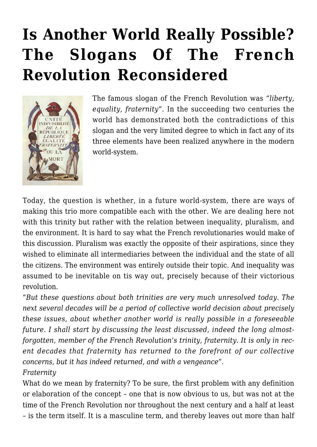# **[Is Another World Really Possible?](https://rozenbergquarterly.com/is-another-world-really-possible-the-slogans-of-the-french-revolution-reconsidered/) [The Slogans Of The French](https://rozenbergquarterly.com/is-another-world-really-possible-the-slogans-of-the-french-revolution-reconsidered/) [Revolution Reconsidered](https://rozenbergquarterly.com/is-another-world-really-possible-the-slogans-of-the-french-revolution-reconsidered/)**



The famous slogan of the French Revolution was "*liberty, equality, fraternity*". In the succeeding two centuries the world has demonstrated both the contradictions of this slogan and the very limited degree to which in fact any of its three elements have been realized anywhere in the modern world-system.

Today, the question is whether, in a future world-system, there are ways of making this trio more compatible each with the other. We are dealing here not with this trinity but rather with the relation between inequality, pluralism, and the environment. It is hard to say what the French revolutionaries would make of this discussion. Pluralism was exactly the opposite of their aspirations, since they wished to eliminate all intermediaries between the individual and the state of all the citizens. The environment was entirely outside their topic. And inequality was assumed to be inevitable on tis way out, precisely because of their victorious revolution.

"*But these questions about both trinities are very much unresolved today. The next several decades will be a period of collective world decision about precisely these issues, about whether another world is really possible in a foreseeable future. I shall start by discussing the least discussed, indeed the long almostforgotten, member of the French Revolution's trinity, fraternity. It is only in recent decades that fraternity has returned to the forefront of our collective concerns, but it has indeed returned, and with a vengeance".*

#### *Fraternity*

What do we mean by fraternity? To be sure, the first problem with any definition or elaboration of the concept – one that is now obvious to us, but was not at the time of the French Revolution nor throughout the next century and a half at least – is the term itself. It is a masculine term, and thereby leaves out more than half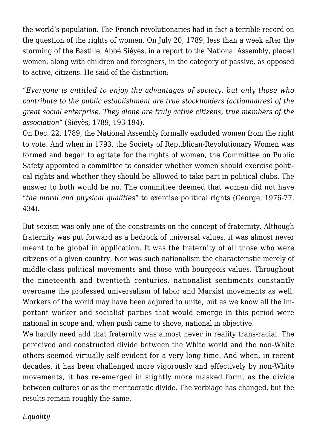the world's population. The French revolutionaries had in fact a terrible record on the question of the rights of women. On July 20, 1789, less than a week after the storming of the Bastille, Abbé Siéyès, in a report to the National Assembly, placed women, along with children and foreigners, in the category of passive, as opposed to active, citizens. He said of the distinction:

"*Everyone is entitled to enjoy the advantages of society, but only those who contribute to the public establishment are true stockholders (actionnaires) of the great social enterprise. They alone are truly active citizens, true members of the association"* (Siéyès, 1789, 193-194).

On Dec. 22, 1789, the National Assembly formally excluded women from the right to vote. And when in 1793, the Society of Republican-Revolutionary Women was formed and began to agitate for the rights of women, the Committee on Public Safety appointed a committee to consider whether women should exercise political rights and whether they should be allowed to take part in political clubs. The answer to both would be no. The committee deemed that women did not have "*the moral and physical qualities*" to exercise political rights (George, 1976-77, 434).

But sexism was only one of the constraints on the concept of fraternity. Although fraternity was put forward as a bedrock of universal values, it was almost never meant to be global in application. It was the fraternity of all those who were citizens of a given country. Nor was such nationalism the characteristic merely of middle-class political movements and those with bourgeois values. Throughout the nineteenth and twentieth centuries, nationalist sentiments constantly overcame the professed universalism of labor and Marxist movements as well. Workers of the world may have been adjured to unite, but as we know all the important worker and socialist parties that would emerge in this period were national in scope and, when push came to shove, national in objective.

We hardly need add that fraternity was almost never in reality trans-racial. The perceived and constructed divide between the White world and the non-White others seemed virtually self-evident for a very long time. And when, in recent decades, it has been challenged more vigorously and effectively by non-White movements, it has re-emerged in slightly more masked form, as the divide between cultures or as the meritocratic divide. The verbiage has changed, but the results remain roughly the same.

*Equality*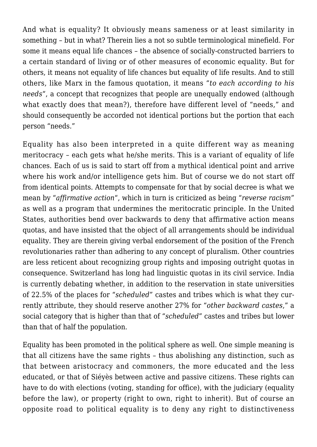And what is equality? It obviously means sameness or at least similarity in something – but in what? Therein lies a not so subtle terminological minefield. For some it means equal life chances – the absence of socially-constructed barriers to a certain standard of living or of other measures of economic equality. But for others, it means not equality of life chances but equality of life results. And to still others, like Marx in the famous quotation, it means "*to each according to his needs*", a concept that recognizes that people are unequally endowed (although what exactly does that mean?), therefore have different level of "needs," and should consequently be accorded not identical portions but the portion that each person "needs."

Equality has also been interpreted in a quite different way as meaning meritocracy – each gets what he/she merits. This is a variant of equality of life chances. Each of us is said to start off from a mythical identical point and arrive where his work and/or intelligence gets him. But of course we do not start off from identical points. Attempts to compensate for that by social decree is what we mean by "*affirmative action*", which in turn is criticized as being "*reverse racism*" as well as a program that undermines the meritocratic principle. In the United States, authorities bend over backwards to deny that affirmative action means quotas, and have insisted that the object of all arrangements should be individual equality. They are therein giving verbal endorsement of the position of the French revolutionaries rather than adhering to any concept of pluralism. Other countries are less reticent about recognizing group rights and imposing outright quotas in consequence. Switzerland has long had linguistic quotas in its civil service. India is currently debating whether, in addition to the reservation in state universities of 22.5% of the places for "*scheduled*" castes and tribes which is what they currently attribute, they should reserve another 27% for "*other backward castes*," a social category that is higher than that of "*scheduled*" castes and tribes but lower than that of half the population.

Equality has been promoted in the political sphere as well. One simple meaning is that all citizens have the same rights – thus abolishing any distinction, such as that between aristocracy and commoners, the more educated and the less educated, or that of Siéyès between active and passive citizens. These rights can have to do with elections (voting, standing for office), with the judiciary (equality before the law), or property (right to own, right to inherit). But of course an opposite road to political equality is to deny any right to distinctiveness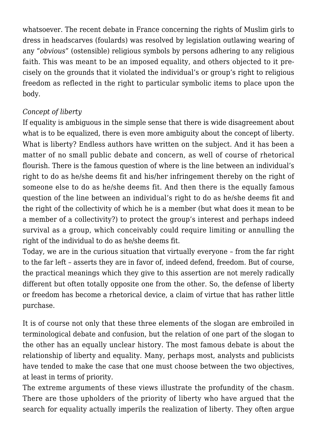whatsoever. The recent debate in France concerning the rights of Muslim girls to dress in headscarves (foulards) was resolved by legislation outlawing wearing of any "*obvious*" (ostensible) religious symbols by persons adhering to any religious faith. This was meant to be an imposed equality, and others objected to it precisely on the grounds that it violated the individual's or group's right to religious freedom as reflected in the right to particular symbolic items to place upon the body.

# *Concept of liberty*

If equality is ambiguous in the simple sense that there is wide disagreement about what is to be equalized, there is even more ambiguity about the concept of liberty. What is liberty? Endless authors have written on the subject. And it has been a matter of no small public debate and concern, as well of course of rhetorical flourish. There is the famous question of where is the line between an individual's right to do as he/she deems fit and his/her infringement thereby on the right of someone else to do as he/she deems fit. And then there is the equally famous question of the line between an individual's right to do as he/she deems fit and the right of the collectivity of which he is a member (but what does it mean to be a member of a collectivity?) to protect the group's interest and perhaps indeed survival as a group, which conceivably could require limiting or annulling the right of the individual to do as he/she deems fit.

Today, we are in the curious situation that virtually everyone – from the far right to the far left – asserts they are in favor of, indeed defend, freedom. But of course, the practical meanings which they give to this assertion are not merely radically different but often totally opposite one from the other. So, the defense of liberty or freedom has become a rhetorical device, a claim of virtue that has rather little purchase.

It is of course not only that these three elements of the slogan are embroiled in terminological debate and confusion, but the relation of one part of the slogan to the other has an equally unclear history. The most famous debate is about the relationship of liberty and equality. Many, perhaps most, analysts and publicists have tended to make the case that one must choose between the two objectives, at least in terms of priority.

The extreme arguments of these views illustrate the profundity of the chasm. There are those upholders of the priority of liberty who have argued that the search for equality actually imperils the realization of liberty. They often argue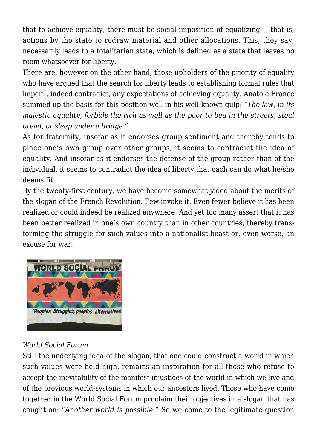that to achieve equality, there must be social imposition of equalizing – that is, actions by the state to redraw material and other allocations. This, they say, necessarily leads to a totalitarian state, which is defined as a state that leaves no room whatsoever for liberty.

There are, however on the other hand, those upholders of the priority of equality who have argued that the search for liberty leads to establishing formal rules that imperil, indeed contradict, any expectations of achieving equality. Anatole France summed up the basis for this position well in his well-known quip: "*The law, in its majestic equality, forbids the rich as well as the poor to beg in the streets, steal bread, or sleep under a bridge*."

As for fraternity, insofar as it endorses group sentiment and thereby tends to place one's own group over other groups, it seems to contradict the idea of equality. And insofar as it endorses the defense of the group rather than of the individual, it seems to contradict the idea of liberty that each can do what he/she deems fit.

By the twenty-first century, we have become somewhat jaded about the merits of the slogan of the French Revolution. Few invoke it. Even fewer believe it has been realized or could indeed be realized anywhere. And yet too many assert that it has been better realized in one's own country than in other countries, thereby transforming the struggle for such values into a nationalist boast or, even worse, an excuse for war.



## *World Social Forum*

Still the underlying idea of the slogan, that one could construct a world in which such values were held high, remains an inspiration for all those who refuse to accept the inevitability of the manifest injustices of the world in which we live and of the previous world-systems in which our ancestors lived. Those who have come together in the World Social Forum proclaim their objectives in a slogan that has caught on: "*Another world is possible*." So we come to the legitimate question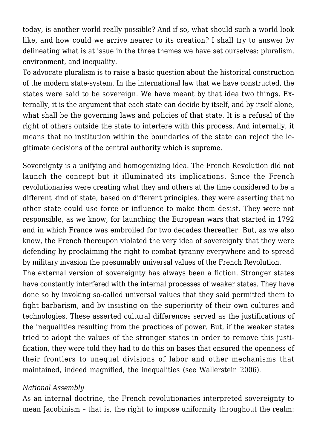today, is another world really possible? And if so, what should such a world look like, and how could we arrive nearer to its creation? I shall try to answer by delineating what is at issue in the three themes we have set ourselves: pluralism, environment, and inequality.

To advocate pluralism is to raise a basic question about the historical construction of the modern state-system. In the international law that we have constructed, the states were said to be sovereign. We have meant by that idea two things. Externally, it is the argument that each state can decide by itself, and by itself alone, what shall be the governing laws and policies of that state. It is a refusal of the right of others outside the state to interfere with this process. And internally, it means that no institution within the boundaries of the state can reject the legitimate decisions of the central authority which is supreme.

Sovereignty is a unifying and homogenizing idea. The French Revolution did not launch the concept but it illuminated its implications. Since the French revolutionaries were creating what they and others at the time considered to be a different kind of state, based on different principles, they were asserting that no other state could use force or influence to make them desist. They were not responsible, as we know, for launching the European wars that started in 1792 and in which France was embroiled for two decades thereafter. But, as we also know, the French thereupon violated the very idea of sovereignty that they were defending by proclaiming the right to combat tyranny everywhere and to spread by military invasion the presumably universal values of the French Revolution.

The external version of sovereignty has always been a fiction. Stronger states have constantly interfered with the internal processes of weaker states. They have done so by invoking so-called universal values that they said permitted them to fight barbarism, and by insisting on the superiority of their own cultures and technologies. These asserted cultural differences served as the justifications of the inequalities resulting from the practices of power. But, if the weaker states tried to adopt the values of the stronger states in order to remove this justification, they were told they had to do this on bases that ensured the openness of their frontiers to unequal divisions of labor and other mechanisms that maintained, indeed magnified, the inequalities (see Wallerstein 2006).

#### *National Assembly*

As an internal doctrine, the French revolutionaries interpreted sovereignty to mean Jacobinism – that is, the right to impose uniformity throughout the realm: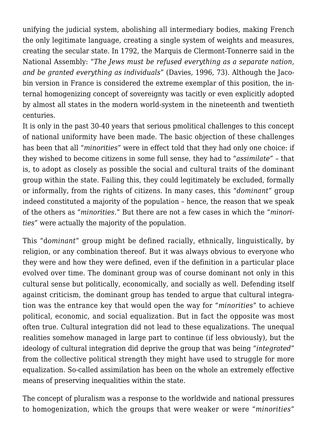unifying the judicial system, abolishing all intermediary bodies, making French the only legitimate language, creating a single system of weights and measures, creating the secular state. In 1792, the Marquis de Clermont-Tonnerre said in the National Assembly: "*The Jews must be refused everything as a separate nation, and be granted everything as individuals*" (Davies, 1996, 73). Although the Jacobin version in France is considered the extreme exemplar of this position, the internal homogenizing concept of sovereignty was tacitly or even explicitly adopted by almost all states in the modern world-system in the nineteenth and twentieth centuries.

It is only in the past 30-40 years that serious pmolitical challenges to this concept of national uniformity have been made. The basic objection of these challenges has been that all "*minorities*" were in effect told that they had only one choice: if they wished to become citizens in some full sense, they had to "*assimilate*" – that is, to adopt as closely as possible the social and cultural traits of the dominant group within the state. Failing this, they could legitimately be excluded, formally or informally, from the rights of citizens. In many cases, this "*dominant*" group indeed constituted a majority of the population – hence, the reason that we speak of the others as "*minorities*." But there are not a few cases in which the "*minorities*" were actually the majority of the population.

This "d*ominant*" group might be defined racially, ethnically, linguistically, by religion, or any combination thereof. But it was always obvious to everyone who they were and how they were defined, even if the definition in a particular place evolved over time. The dominant group was of course dominant not only in this cultural sense but politically, economically, and socially as well. Defending itself against criticism, the dominant group has tended to argue that cultural integration was the entrance key that would open the way for "*minorities*" to achieve political, economic, and social equalization. But in fact the opposite was most often true. Cultural integration did not lead to these equalizations. The unequal realities somehow managed in large part to continue (if less obviously), but the ideology of cultural integration did deprive the group that was being "*integrated*" from the collective political strength they might have used to struggle for more equalization. So-called assimilation has been on the whole an extremely effective means of preserving inequalities within the state.

The concept of pluralism was a response to the worldwide and national pressures to homogenization, which the groups that were weaker or were "*minorities*"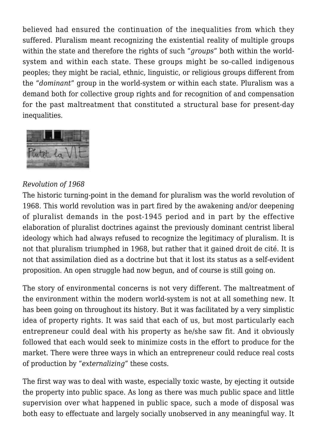believed had ensured the continuation of the inequalities from which they suffered. Pluralism meant recognizing the existential reality of multiple groups within the state and therefore the rights of such "*groups*" both within the worldsystem and within each state. These groups might be so-called indigenous peoples; they might be racial, ethnic, linguistic, or religious groups different from the "*dominant*" group in the world-system or within each state. Pluralism was a demand both for collective group rights and for recognition of and compensation for the past maltreatment that constituted a structural base for present-day inequalities.



## *Revolution of 1968*

The historic turning-point in the demand for pluralism was the world revolution of 1968. This world revolution was in part fired by the awakening and/or deepening of pluralist demands in the post-1945 period and in part by the effective elaboration of pluralist doctrines against the previously dominant centrist liberal ideology which had always refused to recognize the legitimacy of pluralism. It is not that pluralism triumphed in 1968, but rather that it gained droit de cité. It is not that assimilation died as a doctrine but that it lost its status as a self-evident proposition. An open struggle had now begun, and of course is still going on.

The story of environmental concerns is not very different. The maltreatment of the environment within the modern world-system is not at all something new. It has been going on throughout its history. But it was facilitated by a very simplistic idea of property rights. It was said that each of us, but most particularly each entrepreneur could deal with his property as he/she saw fit. And it obviously followed that each would seek to minimize costs in the effort to produce for the market. There were three ways in which an entrepreneur could reduce real costs of production by "*externalizing*" these costs.

The first way was to deal with waste, especially toxic waste, by ejecting it outside the property into public space. As long as there was much public space and little supervision over what happened in public space, such a mode of disposal was both easy to effectuate and largely socially unobserved in any meaningful way. It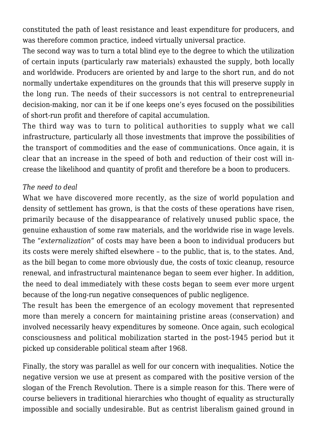constituted the path of least resistance and least expenditure for producers, and was therefore common practice, indeed virtually universal practice.

The second way was to turn a total blind eye to the degree to which the utilization of certain inputs (particularly raw materials) exhausted the supply, both locally and worldwide. Producers are oriented by and large to the short run, and do not normally undertake expenditures on the grounds that this will preserve supply in the long run. The needs of their successors is not central to entrepreneurial decision-making, nor can it be if one keeps one's eyes focused on the possibilities of short-run profit and therefore of capital accumulation.

The third way was to turn to political authorities to supply what we call infrastructure, particularly all those investments that improve the possibilities of the transport of commodities and the ease of communications. Once again, it is clear that an increase in the speed of both and reduction of their cost will increase the likelihood and quantity of profit and therefore be a boon to producers.

#### *The need to deal*

What we have discovered more recently, as the size of world population and density of settlement has grown, is that the costs of these operations have risen, primarily because of the disappearance of relatively unused public space, the genuine exhaustion of some raw materials, and the worldwide rise in wage levels. The "*externalization*" of costs may have been a boon to individual producers but its costs were merely shifted elsewhere – to the public, that is, to the states. And, as the bill began to come more obviously due, the costs of toxic cleanup, resource renewal, and infrastructural maintenance began to seem ever higher. In addition, the need to deal immediately with these costs began to seem ever more urgent because of the long-run negative consequences of public negligence.

The result has been the emergence of an ecology movement that represented more than merely a concern for maintaining pristine areas (conservation) and involved necessarily heavy expenditures by someone. Once again, such ecological consciousness and political mobilization started in the post-1945 period but it picked up considerable political steam after 1968.

Finally, the story was parallel as well for our concern with inequalities. Notice the negative version we use at present as compared with the positive version of the slogan of the French Revolution. There is a simple reason for this. There were of course believers in traditional hierarchies who thought of equality as structurally impossible and socially undesirable. But as centrist liberalism gained ground in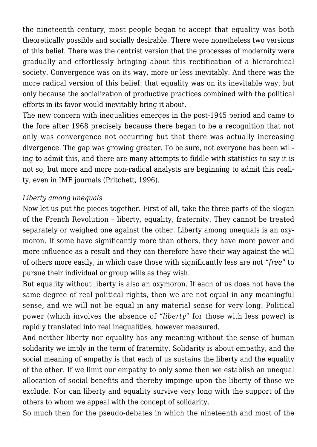the nineteenth century, most people began to accept that equality was both theoretically possible and socially desirable. There were nonetheless two versions of this belief. There was the centrist version that the processes of modernity were gradually and effortlessly bringing about this rectification of a hierarchical society. Convergence was on its way, more or less inevitably. And there was the more radical version of this belief: that equality was on its inevitable way, but only because the socialization of productive practices combined with the political efforts in its favor would inevitably bring it about.

The new concern with inequalities emerges in the post-1945 period and came to the fore after 1968 precisely because there began to be a recognition that not only was convergence not occurring but that there was actually increasing divergence. The gap was growing greater. To be sure, not everyone has been willing to admit this, and there are many attempts to fiddle with statistics to say it is not so, but more and more non-radical analysts are beginning to admit this reality, even in IMF journals (Pritchett, 1996).

#### *Liberty among unequals*

Now let us put the pieces together. First of all, take the three parts of the slogan of the French Revolution – liberty, equality, fraternity. They cannot be treated separately or weighed one against the other. Liberty among unequals is an oxymoron. If some have significantly more than others, they have more power and more influence as a result and they can therefore have their way against the will of others more easily, in which case those with significantly less are not "*free*" to pursue their individual or group wills as they wish.

But equality without liberty is also an oxymoron. If each of us does not have the same degree of real political rights, then we are not equal in any meaningful sense, and we will not be equal in any material sense for very long. Political power (which involves the absence of "*liberty*" for those with less power) is rapidly translated into real inequalities, however measured.

And neither liberty nor equality has any meaning without the sense of human solidarity we imply in the term of fraternity. Solidarity is about empathy, and the social meaning of empathy is that each of us sustains the liberty and the equality of the other. If we limit our empathy to only some then we establish an unequal allocation of social benefits and thereby impinge upon the liberty of those we exclude. Nor can liberty and equality survive very long with the support of the others to whom we appeal with the concept of solidarity.

So much then for the pseudo-debates in which the nineteenth and most of the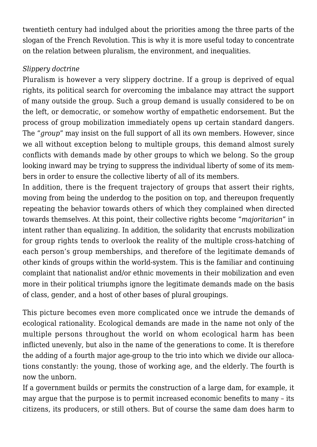twentieth century had indulged about the priorities among the three parts of the slogan of the French Revolution. This is why it is more useful today to concentrate on the relation between pluralism, the environment, and inequalities.

## *Slippery doctrine*

Pluralism is however a very slippery doctrine. If a group is deprived of equal rights, its political search for overcoming the imbalance may attract the support of many outside the group. Such a group demand is usually considered to be on the left, or democratic, or somehow worthy of empathetic endorsement. But the process of group mobilization immediately opens up certain standard dangers. The "*group*" may insist on the full support of all its own members. However, since we all without exception belong to multiple groups, this demand almost surely conflicts with demands made by other groups to which we belong. So the group looking inward may be trying to suppress the individual liberty of some of its members in order to ensure the collective liberty of all of its members.

In addition, there is the frequent trajectory of groups that assert their rights, moving from being the underdog to the position on top, and thereupon frequently repeating the behavior towards others of which they complained when directed towards themselves. At this point, their collective rights become "*majoritarian*" in intent rather than equalizing. In addition, the solidarity that encrusts mobilization for group rights tends to overlook the reality of the multiple cross-hatching of each person's group memberships, and therefore of the legitimate demands of other kinds of groups within the world-system. This is the familiar and continuing complaint that nationalist and/or ethnic movements in their mobilization and even more in their political triumphs ignore the legitimate demands made on the basis of class, gender, and a host of other bases of plural groupings.

This picture becomes even more complicated once we intrude the demands of ecological rationality. Ecological demands are made in the name not only of the multiple persons throughout the world on whom ecological harm has been inflicted unevenly, but also in the name of the generations to come. It is therefore the adding of a fourth major age-group to the trio into which we divide our allocations constantly: the young, those of working age, and the elderly. The fourth is now the unborn.

If a government builds or permits the construction of a large dam, for example, it may argue that the purpose is to permit increased economic benefits to many – its citizens, its producers, or still others. But of course the same dam does harm to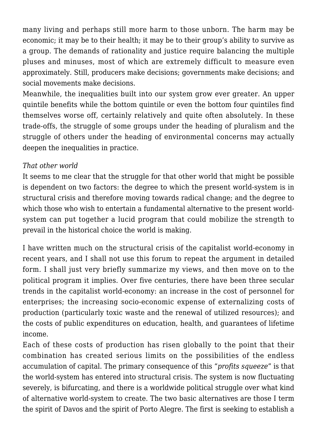many living and perhaps still more harm to those unborn. The harm may be economic; it may be to their health; it may be to their group's ability to survive as a group. The demands of rationality and justice require balancing the multiple pluses and minuses, most of which are extremely difficult to measure even approximately. Still, producers make decisions; governments make decisions; and social movements make decisions.

Meanwhile, the inequalities built into our system grow ever greater. An upper quintile benefits while the bottom quintile or even the bottom four quintiles find themselves worse off, certainly relatively and quite often absolutely. In these trade-offs, the struggle of some groups under the heading of pluralism and the struggle of others under the heading of environmental concerns may actually deepen the inequalities in practice.

# *That other world*

It seems to me clear that the struggle for that other world that might be possible is dependent on two factors: the degree to which the present world-system is in structural crisis and therefore moving towards radical change; and the degree to which those who wish to entertain a fundamental alternative to the present worldsystem can put together a lucid program that could mobilize the strength to prevail in the historical choice the world is making.

I have written much on the structural crisis of the capitalist world-economy in recent years, and I shall not use this forum to repeat the argument in detailed form. I shall just very briefly summarize my views, and then move on to the political program it implies. Over five centuries, there have been three secular trends in the capitalist world-economy: an increase in the cost of personnel for enterprises; the increasing socio-economic expense of externalizing costs of production (particularly toxic waste and the renewal of utilized resources); and the costs of public expenditures on education, health, and guarantees of lifetime income.

Each of these costs of production has risen globally to the point that their combination has created serious limits on the possibilities of the endless accumulation of capital. The primary consequence of this "*profits squeeze*" is that the world-system has entered into structural crisis. The system is now fluctuating severely, is bifurcating, and there is a worldwide political struggle over what kind of alternative world-system to create. The two basic alternatives are those I term the spirit of Davos and the spirit of Porto Alegre. The first is seeking to establish a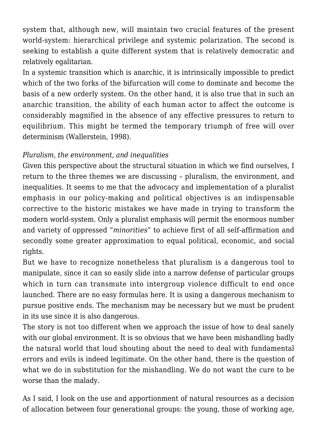system that, although new, will maintain two crucial features of the present world-system: hierarchical privilege and systemic polarization. The second is seeking to establish a quite different system that is relatively democratic and relatively egalitarian.

In a systemic transition which is anarchic, it is intrinsically impossible to predict which of the two forks of the bifurcation will come to dominate and become the basis of a new orderly system. On the other hand, it is also true that in such an anarchic transition, the ability of each human actor to affect the outcome is considerably magnified in the absence of any effective pressures to return to equilibrium. This might be termed the temporary triumph of free will over determinism (Wallerstein, 1998).

# *Pluralism, the environment, and inequalities*

Given this perspective about the structural situation in which we find ourselves, I return to the three themes we are discussing – pluralism, the environment, and inequalities. It seems to me that the advocacy and implementation of a pluralist emphasis in our policy-making and political objectives is an indispensable corrective to the historic mistakes we have made in trying to transform the modern world-system. Only a pluralist emphasis will permit the enormous number and variety of oppressed "*minorities*" to achieve first of all self-affirmation and secondly some greater approximation to equal political, economic, and social rights.

But we have to recognize nonetheless that pluralism is a dangerous tool to manipulate, since it can so easily slide into a narrow defense of particular groups which in turn can transmute into intergroup violence difficult to end once launched. There are no easy formulas here. It is using a dangerous mechanism to pursue positive ends. The mechanism may be necessary but we must be prudent in its use since it is also dangerous.

The story is not too different when we approach the issue of how to deal sanely with our global environment. It is so obvious that we have been mishandling badly the natural world that loud shouting about the need to deal with fundamental errors and evils is indeed legitimate. On the other hand, there is the question of what we do in substitution for the mishandling. We do not want the cure to be worse than the malady.

As I said, I look on the use and apportionment of natural resources as a decision of allocation between four generational groups: the young, those of working age,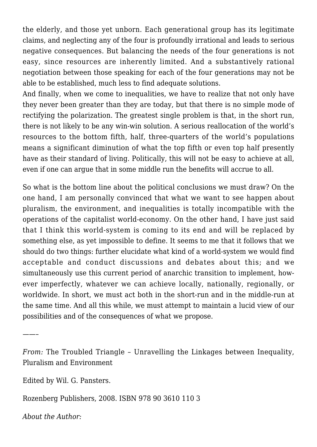the elderly, and those yet unborn. Each generational group has its legitimate claims, and neglecting any of the four is profoundly irrational and leads to serious negative consequences. But balancing the needs of the four generations is not easy, since resources are inherently limited. And a substantively rational negotiation between those speaking for each of the four generations may not be able to be established, much less to find adequate solutions.

And finally, when we come to inequalities, we have to realize that not only have they never been greater than they are today, but that there is no simple mode of rectifying the polarization. The greatest single problem is that, in the short run, there is not likely to be any win-win solution. A serious reallocation of the world's resources to the bottom fifth, half, three-quarters of the world's populations means a significant diminution of what the top fifth or even top half presently have as their standard of living. Politically, this will not be easy to achieve at all, even if one can argue that in some middle run the benefits will accrue to all.

So what is the bottom line about the political conclusions we must draw? On the one hand, I am personally convinced that what we want to see happen about pluralism, the environment, and inequalities is totally incompatible with the operations of the capitalist world-economy. On the other hand, I have just said that I think this world-system is coming to its end and will be replaced by something else, as yet impossible to define. It seems to me that it follows that we should do two things: further elucidate what kind of a world-system we would find acceptable and conduct discussions and debates about this; and we simultaneously use this current period of anarchic transition to implement, however imperfectly, whatever we can achieve locally, nationally, regionally, or worldwide. In short, we must act both in the short-run and in the middle-run at the same time. And all this while, we must attempt to maintain a lucid view of our possibilities and of the consequences of what we propose.

Edited by Wil. G. Pansters.

Rozenberg Publishers, 2008. ISBN 978 90 3610 110 3

*About the Author:*

——–

*From:* The Troubled Triangle – Unravelling the Linkages between Inequality, Pluralism and Environment